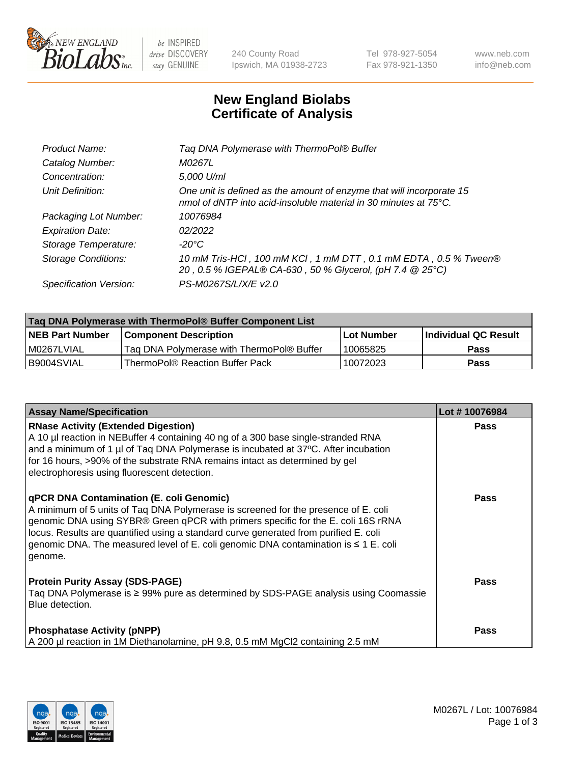

 $be$  INSPIRED drive DISCOVERY stay GENUINE

240 County Road Ipswich, MA 01938-2723 Tel 978-927-5054 Fax 978-921-1350 www.neb.com info@neb.com

## **New England Biolabs Certificate of Analysis**

| Tag DNA Polymerase with ThermoPol® Buffer                                                                                                |
|------------------------------------------------------------------------------------------------------------------------------------------|
| M0267L                                                                                                                                   |
| 5,000 U/ml                                                                                                                               |
| One unit is defined as the amount of enzyme that will incorporate 15<br>nmol of dNTP into acid-insoluble material in 30 minutes at 75°C. |
| 10076984                                                                                                                                 |
| 02/2022                                                                                                                                  |
| $-20^{\circ}$ C                                                                                                                          |
| 10 mM Tris-HCl, 100 mM KCl, 1 mM DTT, 0.1 mM EDTA, 0.5 % Tween®<br>20, 0.5 % IGEPAL® CA-630, 50 % Glycerol, (pH 7.4 @ 25°C)              |
| PS-M0267S/L/X/E v2.0                                                                                                                     |
|                                                                                                                                          |

| Tag DNA Polymerase with ThermoPol® Buffer Component List |                                           |             |                      |  |  |
|----------------------------------------------------------|-------------------------------------------|-------------|----------------------|--|--|
| <b>NEB Part Number</b>                                   | <b>Component Description</b>              | ∣Lot Number | Individual QC Result |  |  |
| I M0267LVIAL                                             | Tag DNA Polymerase with ThermoPol® Buffer | 10065825    | <b>Pass</b>          |  |  |
| I B9004SVIAL                                             | ThermoPol® Reaction Buffer Pack           | 10072023    | Pass                 |  |  |

| <b>Assay Name/Specification</b>                                                                                                                                                                                                                                                                                                                                                                               | Lot #10076984 |
|---------------------------------------------------------------------------------------------------------------------------------------------------------------------------------------------------------------------------------------------------------------------------------------------------------------------------------------------------------------------------------------------------------------|---------------|
| <b>RNase Activity (Extended Digestion)</b><br>A 10 µl reaction in NEBuffer 4 containing 40 ng of a 300 base single-stranded RNA<br>and a minimum of 1 µl of Taq DNA Polymerase is incubated at 37°C. After incubation<br>for 16 hours, >90% of the substrate RNA remains intact as determined by gel<br>electrophoresis using fluorescent detection.                                                          | <b>Pass</b>   |
| qPCR DNA Contamination (E. coli Genomic)<br>A minimum of 5 units of Taq DNA Polymerase is screened for the presence of E. coli<br>genomic DNA using SYBR® Green qPCR with primers specific for the E. coli 16S rRNA<br>locus. Results are quantified using a standard curve generated from purified E. coli<br>genomic DNA. The measured level of E. coli genomic DNA contamination is ≤ 1 E. coli<br>genome. | Pass          |
| <b>Protein Purity Assay (SDS-PAGE)</b><br>Taq DNA Polymerase is ≥ 99% pure as determined by SDS-PAGE analysis using Coomassie<br>Blue detection.                                                                                                                                                                                                                                                              | <b>Pass</b>   |
| <b>Phosphatase Activity (pNPP)</b><br>A 200 µl reaction in 1M Diethanolamine, pH 9.8, 0.5 mM MgCl2 containing 2.5 mM                                                                                                                                                                                                                                                                                          | Pass          |

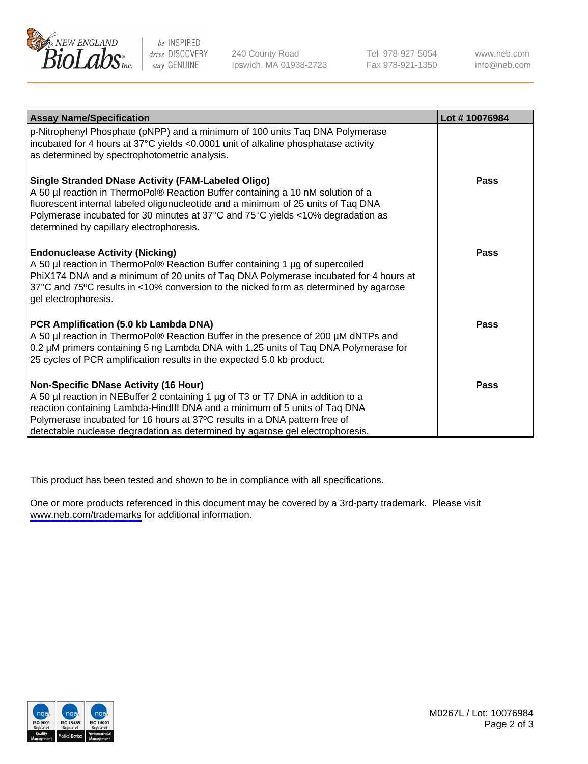

be INSPIRED drive DISCOVERY stay GENUINE

240 County Road Ipswich, MA 01938-2723 Tel 978-927-5054 Fax 978-921-1350

www.neb.com info@neb.com

| <b>Assay Name/Specification</b>                                                                                                                                                                                                                                                                                                                                              | Lot #10076984 |
|------------------------------------------------------------------------------------------------------------------------------------------------------------------------------------------------------------------------------------------------------------------------------------------------------------------------------------------------------------------------------|---------------|
| p-Nitrophenyl Phosphate (pNPP) and a minimum of 100 units Taq DNA Polymerase<br>incubated for 4 hours at 37°C yields <0.0001 unit of alkaline phosphatase activity<br>as determined by spectrophotometric analysis.                                                                                                                                                          |               |
| <b>Single Stranded DNase Activity (FAM-Labeled Oligo)</b><br>A 50 µl reaction in ThermoPol® Reaction Buffer containing a 10 nM solution of a<br>fluorescent internal labeled oligonucleotide and a minimum of 25 units of Taq DNA<br>Polymerase incubated for 30 minutes at 37°C and 75°C yields <10% degradation as<br>determined by capillary electrophoresis.             | <b>Pass</b>   |
| <b>Endonuclease Activity (Nicking)</b><br>A 50 µl reaction in ThermoPol® Reaction Buffer containing 1 µg of supercoiled<br>PhiX174 DNA and a minimum of 20 units of Taq DNA Polymerase incubated for 4 hours at<br>37°C and 75°C results in <10% conversion to the nicked form as determined by agarose<br>gel electrophoresis.                                              | <b>Pass</b>   |
| PCR Amplification (5.0 kb Lambda DNA)<br>A 50 µl reaction in ThermoPol® Reaction Buffer in the presence of 200 µM dNTPs and<br>0.2 µM primers containing 5 ng Lambda DNA with 1.25 units of Taq DNA Polymerase for<br>25 cycles of PCR amplification results in the expected 5.0 kb product.                                                                                 | <b>Pass</b>   |
| <b>Non-Specific DNase Activity (16 Hour)</b><br>A 50 µl reaction in NEBuffer 2 containing 1 µg of T3 or T7 DNA in addition to a<br>reaction containing Lambda-HindIII DNA and a minimum of 5 units of Taq DNA<br>Polymerase incubated for 16 hours at 37°C results in a DNA pattern free of<br>detectable nuclease degradation as determined by agarose gel electrophoresis. | <b>Pass</b>   |

This product has been tested and shown to be in compliance with all specifications.

One or more products referenced in this document may be covered by a 3rd-party trademark. Please visit <www.neb.com/trademarks>for additional information.